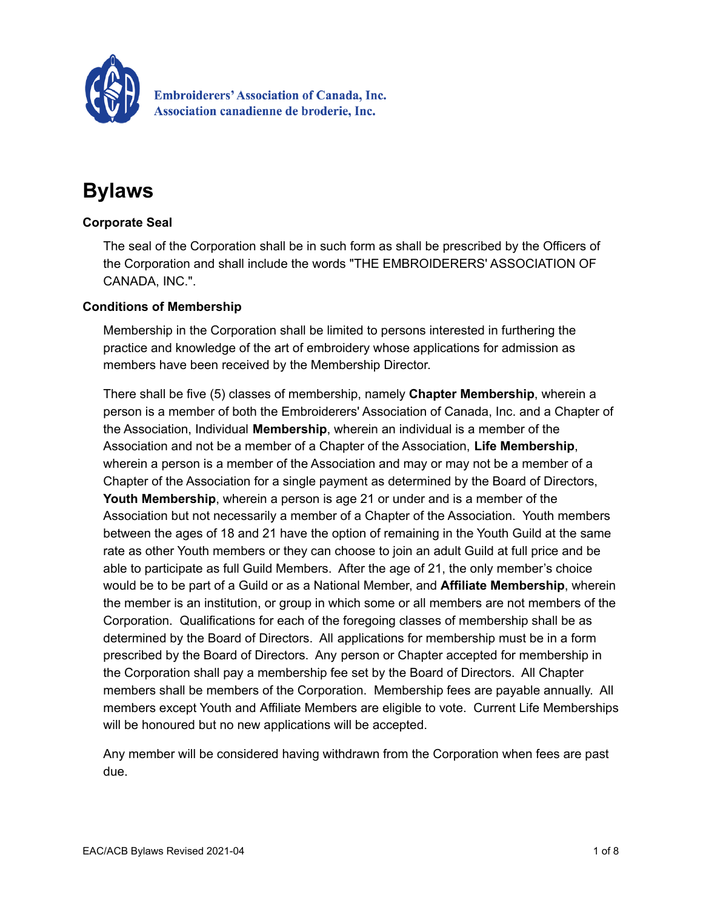

**Embroiderers' Association of Canada, Inc.** Association canadienne de broderie, Inc.

# **Bylaws**

# **Corporate Seal**

The seal of the Corporation shall be in such form as shall be prescribed by the Officers of the Corporation and shall include the words "THE EMBROIDERERS' ASSOCIATION OF CANADA, INC.".

# **Conditions of Membership**

Membership in the Corporation shall be limited to persons interested in furthering the practice and knowledge of the art of embroidery whose applications for admission as members have been received by the Membership Director.

There shall be five (5) classes of membership, namely **Chapter Membership**, wherein a person is a member of both the Embroiderers' Association of Canada, Inc. and a Chapter of the Association, Individual **Membership**, wherein an individual is a member of the Association and not be a member of a Chapter of the Association, **Life Membership**, wherein a person is a member of the Association and may or may not be a member of a Chapter of the Association for a single payment as determined by the Board of Directors, **Youth Membership**, wherein a person is age 21 or under and is a member of the Association but not necessarily a member of a Chapter of the Association. Youth members between the ages of 18 and 21 have the option of remaining in the Youth Guild at the same rate as other Youth members or they can choose to join an adult Guild at full price and be able to participate as full Guild Members. After the age of 21, the only member's choice would be to be part of a Guild or as a National Member, and **Affiliate Membership**, wherein the member is an institution, or group in which some or all members are not members of the Corporation. Qualifications for each of the foregoing classes of membership shall be as determined by the Board of Directors. All applications for membership must be in a form prescribed by the Board of Directors. Any person or Chapter accepted for membership in the Corporation shall pay a membership fee set by the Board of Directors. All Chapter members shall be members of the Corporation. Membership fees are payable annually. All members except Youth and Affiliate Members are eligible to vote. Current Life Memberships will be honoured but no new applications will be accepted.

Any member will be considered having withdrawn from the Corporation when fees are past due.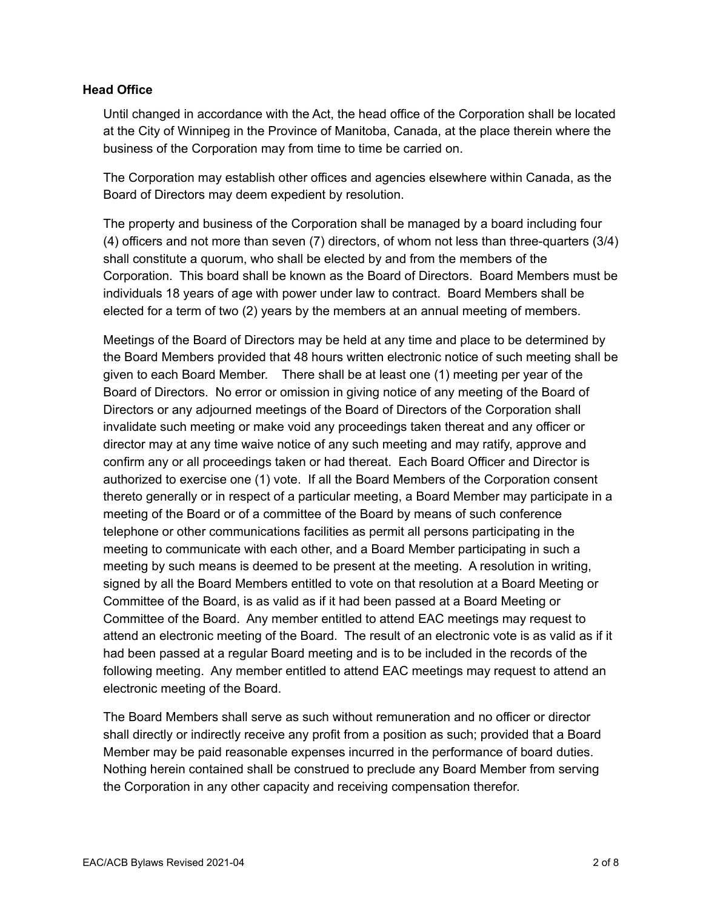## **Head Office**

Until changed in accordance with the Act, the head office of the Corporation shall be located at the City of Winnipeg in the Province of Manitoba, Canada, at the place therein where the business of the Corporation may from time to time be carried on.

The Corporation may establish other offices and agencies elsewhere within Canada, as the Board of Directors may deem expedient by resolution.

The property and business of the Corporation shall be managed by a board including four (4) officers and not more than seven (7) directors, of whom not less than three-quarters (3/4) shall constitute a quorum, who shall be elected by and from the members of the Corporation. This board shall be known as the Board of Directors. Board Members must be individuals 18 years of age with power under law to contract. Board Members shall be elected for a term of two (2) years by the members at an annual meeting of members.

Meetings of the Board of Directors may be held at any time and place to be determined by the Board Members provided that 48 hours written electronic notice of such meeting shall be given to each Board Member. There shall be at least one (1) meeting per year of the Board of Directors. No error or omission in giving notice of any meeting of the Board of Directors or any adjourned meetings of the Board of Directors of the Corporation shall invalidate such meeting or make void any proceedings taken thereat and any officer or director may at any time waive notice of any such meeting and may ratify, approve and confirm any or all proceedings taken or had thereat. Each Board Officer and Director is authorized to exercise one (1) vote. If all the Board Members of the Corporation consent thereto generally or in respect of a particular meeting, a Board Member may participate in a meeting of the Board or of a committee of the Board by means of such conference telephone or other communications facilities as permit all persons participating in the meeting to communicate with each other, and a Board Member participating in such a meeting by such means is deemed to be present at the meeting. A resolution in writing, signed by all the Board Members entitled to vote on that resolution at a Board Meeting or Committee of the Board, is as valid as if it had been passed at a Board Meeting or Committee of the Board. Any member entitled to attend EAC meetings may request to attend an electronic meeting of the Board. The result of an electronic vote is as valid as if it had been passed at a regular Board meeting and is to be included in the records of the following meeting. Any member entitled to attend EAC meetings may request to attend an electronic meeting of the Board.

The Board Members shall serve as such without remuneration and no officer or director shall directly or indirectly receive any profit from a position as such; provided that a Board Member may be paid reasonable expenses incurred in the performance of board duties. Nothing herein contained shall be construed to preclude any Board Member from serving the Corporation in any other capacity and receiving compensation therefor.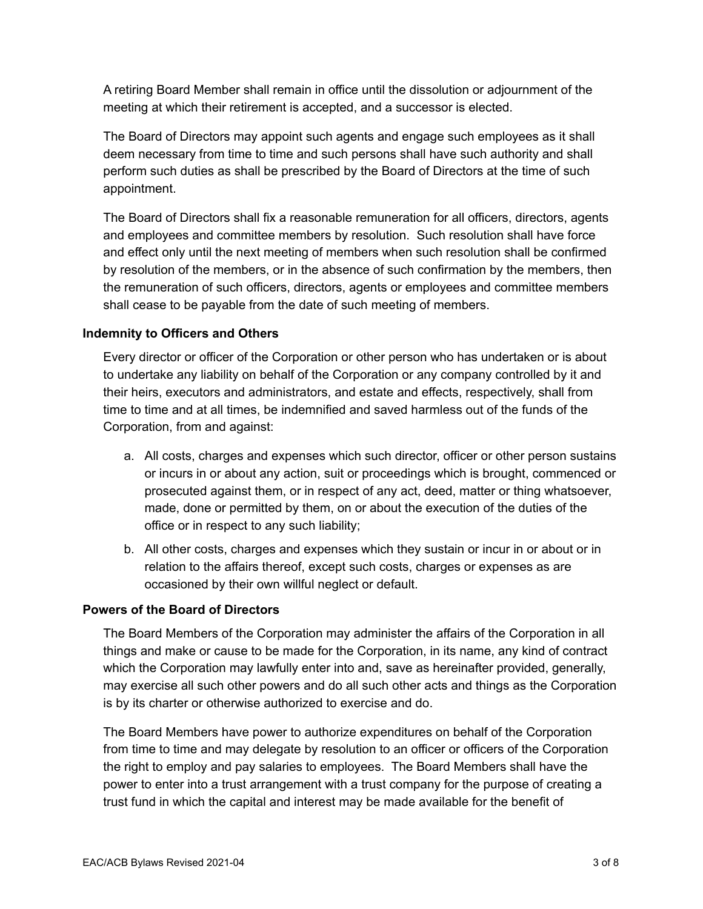A retiring Board Member shall remain in office until the dissolution or adjournment of the meeting at which their retirement is accepted, and a successor is elected.

The Board of Directors may appoint such agents and engage such employees as it shall deem necessary from time to time and such persons shall have such authority and shall perform such duties as shall be prescribed by the Board of Directors at the time of such appointment.

The Board of Directors shall fix a reasonable remuneration for all officers, directors, agents and employees and committee members by resolution. Such resolution shall have force and effect only until the next meeting of members when such resolution shall be confirmed by resolution of the members, or in the absence of such confirmation by the members, then the remuneration of such officers, directors, agents or employees and committee members shall cease to be payable from the date of such meeting of members.

## **Indemnity to Officers and Others**

Every director or officer of the Corporation or other person who has undertaken or is about to undertake any liability on behalf of the Corporation or any company controlled by it and their heirs, executors and administrators, and estate and effects, respectively, shall from time to time and at all times, be indemnified and saved harmless out of the funds of the Corporation, from and against:

- a. All costs, charges and expenses which such director, officer or other person sustains or incurs in or about any action, suit or proceedings which is brought, commenced or prosecuted against them, or in respect of any act, deed, matter or thing whatsoever, made, done or permitted by them, on or about the execution of the duties of the office or in respect to any such liability;
- b. All other costs, charges and expenses which they sustain or incur in or about or in relation to the affairs thereof, except such costs, charges or expenses as are occasioned by their own willful neglect or default.

## **Powers of the Board of Directors**

The Board Members of the Corporation may administer the affairs of the Corporation in all things and make or cause to be made for the Corporation, in its name, any kind of contract which the Corporation may lawfully enter into and, save as hereinafter provided, generally, may exercise all such other powers and do all such other acts and things as the Corporation is by its charter or otherwise authorized to exercise and do.

The Board Members have power to authorize expenditures on behalf of the Corporation from time to time and may delegate by resolution to an officer or officers of the Corporation the right to employ and pay salaries to employees. The Board Members shall have the power to enter into a trust arrangement with a trust company for the purpose of creating a trust fund in which the capital and interest may be made available for the benefit of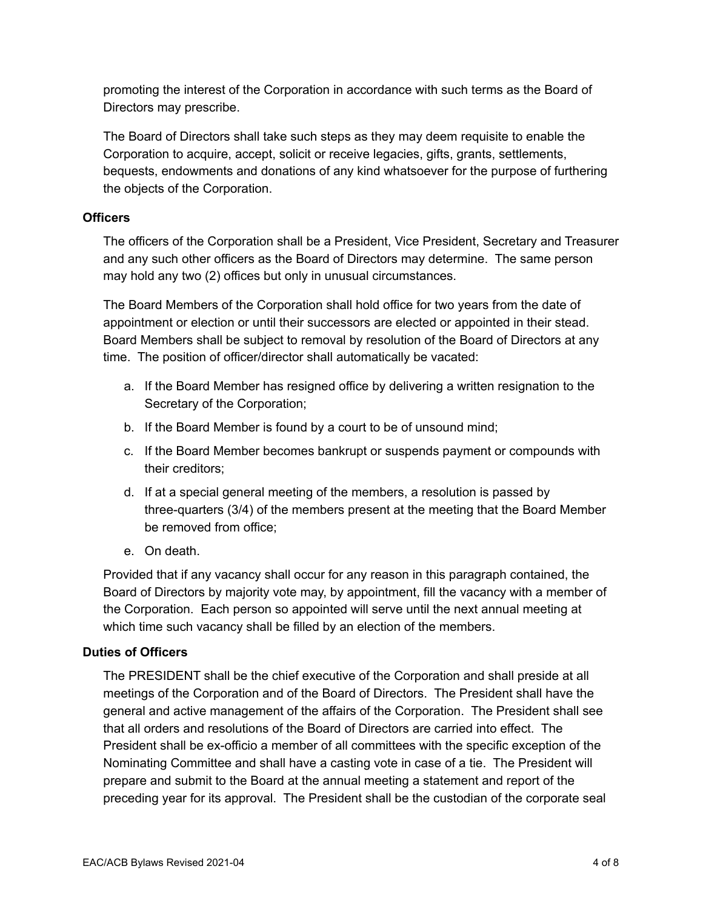promoting the interest of the Corporation in accordance with such terms as the Board of Directors may prescribe.

The Board of Directors shall take such steps as they may deem requisite to enable the Corporation to acquire, accept, solicit or receive legacies, gifts, grants, settlements, bequests, endowments and donations of any kind whatsoever for the purpose of furthering the objects of the Corporation.

## **Officers**

The officers of the Corporation shall be a President, Vice President, Secretary and Treasurer and any such other officers as the Board of Directors may determine. The same person may hold any two (2) offices but only in unusual circumstances.

The Board Members of the Corporation shall hold office for two years from the date of appointment or election or until their successors are elected or appointed in their stead. Board Members shall be subject to removal by resolution of the Board of Directors at any time. The position of officer/director shall automatically be vacated:

- a. If the Board Member has resigned office by delivering a written resignation to the Secretary of the Corporation;
- b. If the Board Member is found by a court to be of unsound mind;
- c. If the Board Member becomes bankrupt or suspends payment or compounds with their creditors;
- d. If at a special general meeting of the members, a resolution is passed by three-quarters (3/4) of the members present at the meeting that the Board Member be removed from office;
- e. On death.

Provided that if any vacancy shall occur for any reason in this paragraph contained, the Board of Directors by majority vote may, by appointment, fill the vacancy with a member of the Corporation. Each person so appointed will serve until the next annual meeting at which time such vacancy shall be filled by an election of the members.

# **Duties of Officers**

The PRESIDENT shall be the chief executive of the Corporation and shall preside at all meetings of the Corporation and of the Board of Directors. The President shall have the general and active management of the affairs of the Corporation. The President shall see that all orders and resolutions of the Board of Directors are carried into effect. The President shall be ex-officio a member of all committees with the specific exception of the Nominating Committee and shall have a casting vote in case of a tie. The President will prepare and submit to the Board at the annual meeting a statement and report of the preceding year for its approval. The President shall be the custodian of the corporate seal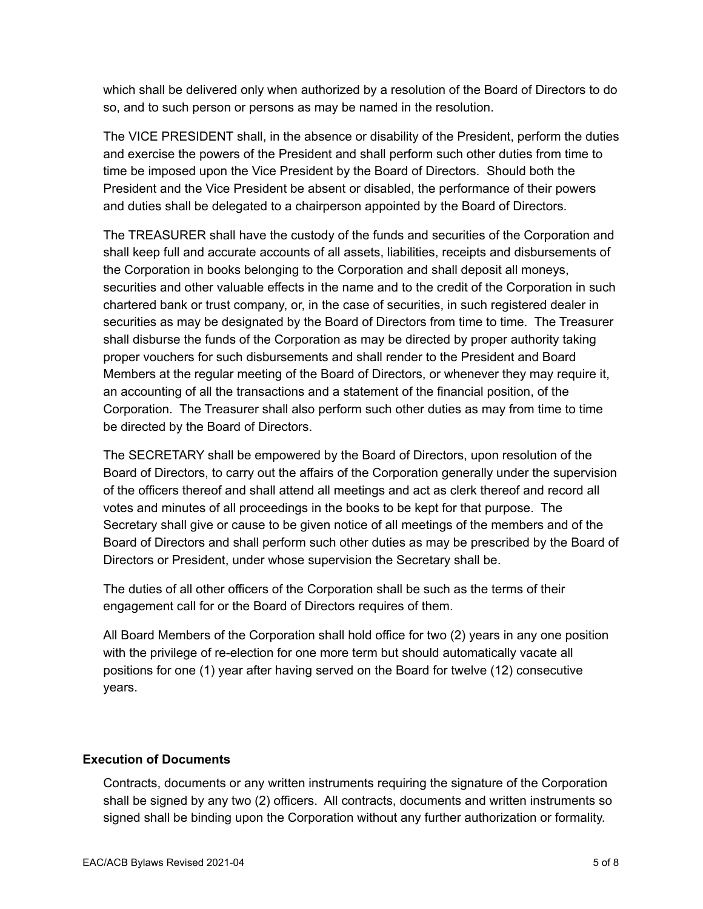which shall be delivered only when authorized by a resolution of the Board of Directors to do so, and to such person or persons as may be named in the resolution.

The VICE PRESIDENT shall, in the absence or disability of the President, perform the duties and exercise the powers of the President and shall perform such other duties from time to time be imposed upon the Vice President by the Board of Directors. Should both the President and the Vice President be absent or disabled, the performance of their powers and duties shall be delegated to a chairperson appointed by the Board of Directors.

The TREASURER shall have the custody of the funds and securities of the Corporation and shall keep full and accurate accounts of all assets, liabilities, receipts and disbursements of the Corporation in books belonging to the Corporation and shall deposit all moneys, securities and other valuable effects in the name and to the credit of the Corporation in such chartered bank or trust company, or, in the case of securities, in such registered dealer in securities as may be designated by the Board of Directors from time to time. The Treasurer shall disburse the funds of the Corporation as may be directed by proper authority taking proper vouchers for such disbursements and shall render to the President and Board Members at the regular meeting of the Board of Directors, or whenever they may require it, an accounting of all the transactions and a statement of the financial position, of the Corporation. The Treasurer shall also perform such other duties as may from time to time be directed by the Board of Directors.

The SECRETARY shall be empowered by the Board of Directors, upon resolution of the Board of Directors, to carry out the affairs of the Corporation generally under the supervision of the officers thereof and shall attend all meetings and act as clerk thereof and record all votes and minutes of all proceedings in the books to be kept for that purpose. The Secretary shall give or cause to be given notice of all meetings of the members and of the Board of Directors and shall perform such other duties as may be prescribed by the Board of Directors or President, under whose supervision the Secretary shall be.

The duties of all other officers of the Corporation shall be such as the terms of their engagement call for or the Board of Directors requires of them.

All Board Members of the Corporation shall hold office for two (2) years in any one position with the privilege of re-election for one more term but should automatically vacate all positions for one (1) year after having served on the Board for twelve (12) consecutive years.

# **Execution of Documents**

Contracts, documents or any written instruments requiring the signature of the Corporation shall be signed by any two (2) officers. All contracts, documents and written instruments so signed shall be binding upon the Corporation without any further authorization or formality.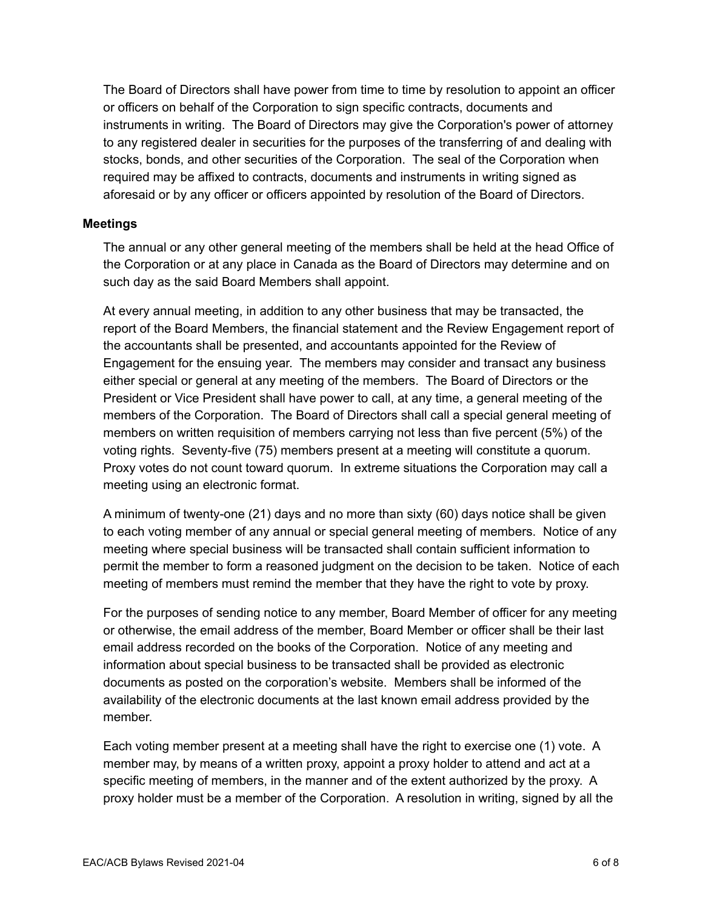The Board of Directors shall have power from time to time by resolution to appoint an officer or officers on behalf of the Corporation to sign specific contracts, documents and instruments in writing. The Board of Directors may give the Corporation's power of attorney to any registered dealer in securities for the purposes of the transferring of and dealing with stocks, bonds, and other securities of the Corporation. The seal of the Corporation when required may be affixed to contracts, documents and instruments in writing signed as aforesaid or by any officer or officers appointed by resolution of the Board of Directors.

#### **Meetings**

The annual or any other general meeting of the members shall be held at the head Office of the Corporation or at any place in Canada as the Board of Directors may determine and on such day as the said Board Members shall appoint.

At every annual meeting, in addition to any other business that may be transacted, the report of the Board Members, the financial statement and the Review Engagement report of the accountants shall be presented, and accountants appointed for the Review of Engagement for the ensuing year. The members may consider and transact any business either special or general at any meeting of the members. The Board of Directors or the President or Vice President shall have power to call, at any time, a general meeting of the members of the Corporation. The Board of Directors shall call a special general meeting of members on written requisition of members carrying not less than five percent (5%) of the voting rights. Seventy-five (75) members present at a meeting will constitute a quorum. Proxy votes do not count toward quorum. In extreme situations the Corporation may call a meeting using an electronic format.

A minimum of twenty-one (21) days and no more than sixty (60) days notice shall be given to each voting member of any annual or special general meeting of members. Notice of any meeting where special business will be transacted shall contain sufficient information to permit the member to form a reasoned judgment on the decision to be taken. Notice of each meeting of members must remind the member that they have the right to vote by proxy.

For the purposes of sending notice to any member, Board Member of officer for any meeting or otherwise, the email address of the member, Board Member or officer shall be their last email address recorded on the books of the Corporation. Notice of any meeting and information about special business to be transacted shall be provided as electronic documents as posted on the corporation's website. Members shall be informed of the availability of the electronic documents at the last known email address provided by the member.

Each voting member present at a meeting shall have the right to exercise one (1) vote. A member may, by means of a written proxy, appoint a proxy holder to attend and act at a specific meeting of members, in the manner and of the extent authorized by the proxy. A proxy holder must be a member of the Corporation. A resolution in writing, signed by all the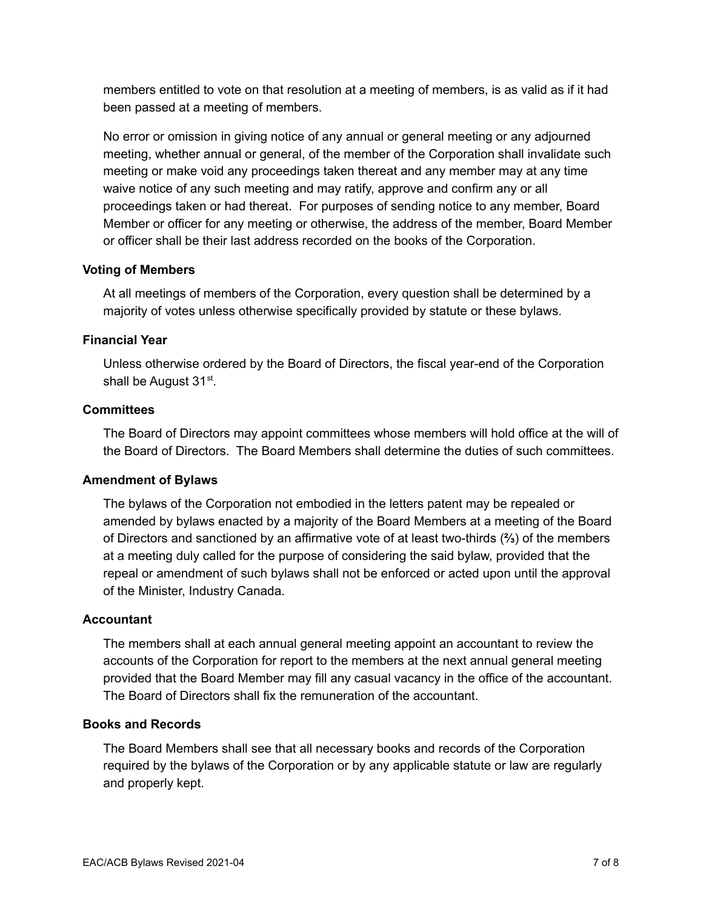members entitled to vote on that resolution at a meeting of members, is as valid as if it had been passed at a meeting of members.

No error or omission in giving notice of any annual or general meeting or any adjourned meeting, whether annual or general, of the member of the Corporation shall invalidate such meeting or make void any proceedings taken thereat and any member may at any time waive notice of any such meeting and may ratify, approve and confirm any or all proceedings taken or had thereat. For purposes of sending notice to any member, Board Member or officer for any meeting or otherwise, the address of the member, Board Member or officer shall be their last address recorded on the books of the Corporation.

## **Voting of Members**

At all meetings of members of the Corporation, every question shall be determined by a majority of votes unless otherwise specifically provided by statute or these bylaws.

## **Financial Year**

Unless otherwise ordered by the Board of Directors, the fiscal year-end of the Corporation shall be August 31<sup>st</sup>.

## **Committees**

The Board of Directors may appoint committees whose members will hold office at the will of the Board of Directors. The Board Members shall determine the duties of such committees.

# **Amendment of Bylaws**

The bylaws of the Corporation not embodied in the letters patent may be repealed or amended by bylaws enacted by a majority of the Board Members at a meeting of the Board of Directors and sanctioned by an affirmative vote of at least two-thirds (**⅔**) of the members at a meeting duly called for the purpose of considering the said bylaw, provided that the repeal or amendment of such bylaws shall not be enforced or acted upon until the approval of the Minister, Industry Canada.

## **Accountant**

The members shall at each annual general meeting appoint an accountant to review the accounts of the Corporation for report to the members at the next annual general meeting provided that the Board Member may fill any casual vacancy in the office of the accountant. The Board of Directors shall fix the remuneration of the accountant.

## **Books and Records**

The Board Members shall see that all necessary books and records of the Corporation required by the bylaws of the Corporation or by any applicable statute or law are regularly and properly kept.